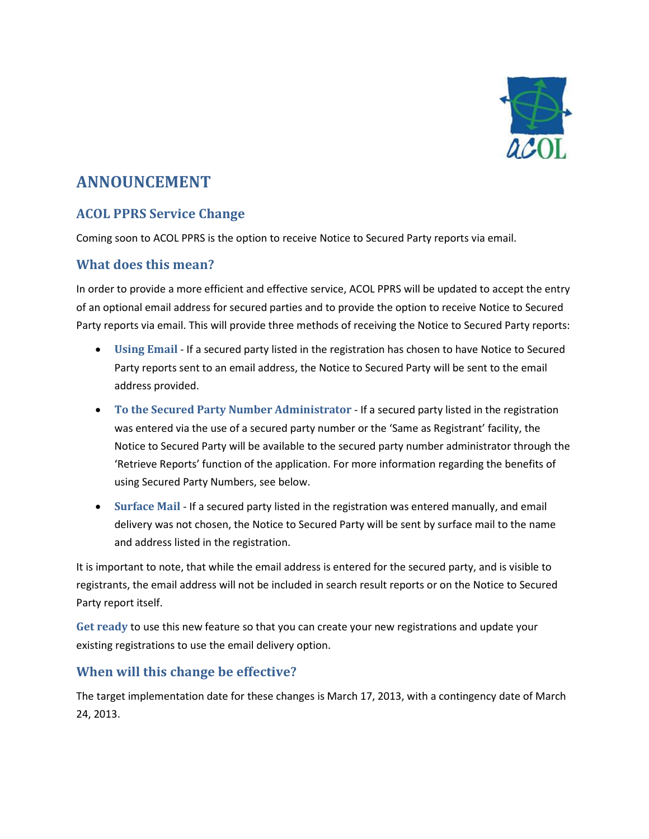

# **ANNOUNCEMENT**

## **ACOL PPRS Service Change**

Coming soon to ACOL PPRS is the option to receive Notice to Secured Party reports via email.

#### **What does this mean?**

In order to provide a more efficient and effective service, ACOL PPRS will be updated to accept the entry of an optional email address for secured parties and to provide the option to receive Notice to Secured Party reports via email. This will provide three methods of receiving the Notice to Secured Party reports:

- **Using Email** If a secured party listed in the registration has chosen to have Notice to Secured Party reports sent to an email address, the Notice to Secured Party will be sent to the email address provided.
- **To the Secured Party Number Administrator** If a secured party listed in the registration was entered via the use of a secured party number or the 'Same as Registrant' facility, the Notice to Secured Party will be available to the secured party number administrator through the 'Retrieve Reports' function of the application. For more information regarding the benefits of using Secured Party Numbers, see below.
- **Surface Mail** If a secured party listed in the registration was entered manually, and email delivery was not chosen, the Notice to Secured Party will be sent by surface mail to the name and address listed in the registration.

It is important to note, that while the email address is entered for the secured party, and is visible to registrants, the email address will not be included in search result reports or on the Notice to Secured Party report itself.

**Get ready** to use this new feature so that you can create your new registrations and update your existing registrations to use the email delivery option.

#### **When will this change be effective?**

The target implementation date for these changes is March 17, 2013, with a contingency date of March 24, 2013.